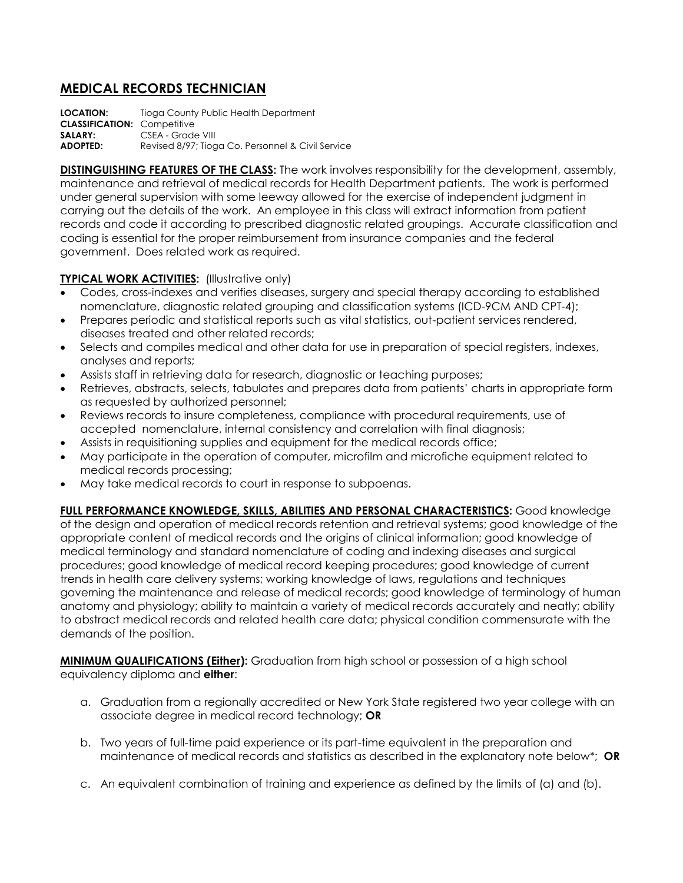## **MEDICAL RECORDS TECHNICIAN**

**LOCATION:** Tioga County Public Health Department **CLASSIFICATION:** Competitive **SALARY:** CSEA - Grade VIII **ADOPTED:** Revised 8/97; Tioga Co. Personnel & Civil Service

**DISTINGUISHING FEATURES OF THE CLASS:** The work involves responsibility for the development, assembly, maintenance and retrieval of medical records for Health Department patients. The work is performed under general supervision with some leeway allowed for the exercise of independent judgment in carrying out the details of the work. An employee in this class will extract information from patient records and code it according to prescribed diagnostic related groupings. Accurate classification and coding is essential for the proper reimbursement from insurance companies and the federal government. Does related work as required.

## **TYPICAL WORK ACTIVITIES: (Illustrative only)**

- Codes, cross-indexes and verifies diseases, surgery and special therapy according to established nomenclature, diagnostic related grouping and classification systems (ICD-9CM AND CPT-4);
- Prepares periodic and statistical reports such as vital statistics, out-patient services rendered, diseases treated and other related records;
- Selects and compiles medical and other data for use in preparation of special registers, indexes, analyses and reports;
- Assists staff in retrieving data for research, diagnostic or teaching purposes;
- Retrieves, abstracts, selects, tabulates and prepares data from patients' charts in appropriate form as requested by authorized personnel;
- Reviews records to insure completeness, compliance with procedural requirements, use of accepted nomenclature, internal consistency and correlation with final diagnosis;
- Assists in requisitioning supplies and equipment for the medical records office;
- May participate in the operation of computer, microfilm and microfiche equipment related to medical records processing;
- May take medical records to court in response to subpoenas.

**FULL PERFORMANCE KNOWLEDGE, SKILLS, ABILITIES AND PERSONAL CHARACTERISTICS:** Good knowledge of the design and operation of medical records retention and retrieval systems; good knowledge of the appropriate content of medical records and the origins of clinical information; good knowledge of medical terminology and standard nomenclature of coding and indexing diseases and surgical procedures; good knowledge of medical record keeping procedures; good knowledge of current trends in health care delivery systems; working knowledge of laws, regulations and techniques governing the maintenance and release of medical records; good knowledge of terminology of human anatomy and physiology; ability to maintain a variety of medical records accurately and neatly; ability to abstract medical records and related health care data; physical condition commensurate with the demands of the position.

**MINIMUM QUALIFICATIONS (Either):** Graduation from high school or possession of a high school equivalency diploma and **either**:

- a. Graduation from a regionally accredited or New York State registered two year college with an associate degree in medical record technology; **OR**
- b. Two years of full-time paid experience or its part-time equivalent in the preparation and maintenance of medical records and statistics as described in the explanatory note below\*; **OR**
- c. An equivalent combination of training and experience as defined by the limits of (a) and (b).